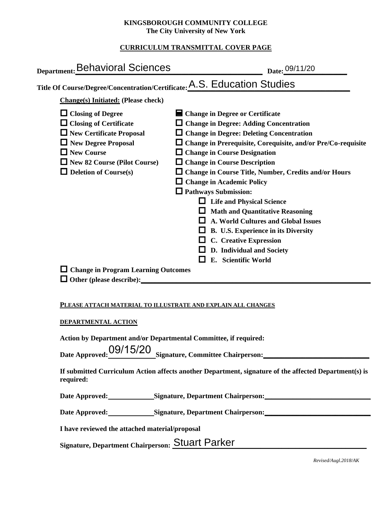### **KINGSBOROUGH COMMUNITY COLLEGE The City University of New York**

# **CURRICULUM TRANSMITTAL COVER PAGE**

| Department: Behavioral Sciences                                                                                                                                                                                                                                      | Date: 09/11/20                                                                                                                                                                                                                                                                                                                                                                                                                                                                                                                                                                                                                                                                                   |
|----------------------------------------------------------------------------------------------------------------------------------------------------------------------------------------------------------------------------------------------------------------------|--------------------------------------------------------------------------------------------------------------------------------------------------------------------------------------------------------------------------------------------------------------------------------------------------------------------------------------------------------------------------------------------------------------------------------------------------------------------------------------------------------------------------------------------------------------------------------------------------------------------------------------------------------------------------------------------------|
| Title Of Course/Degree/Concentration/Certificate: A.S. Education Studies                                                                                                                                                                                             |                                                                                                                                                                                                                                                                                                                                                                                                                                                                                                                                                                                                                                                                                                  |
| <b>Change(s)</b> Initiated: (Please check)                                                                                                                                                                                                                           |                                                                                                                                                                                                                                                                                                                                                                                                                                                                                                                                                                                                                                                                                                  |
| $\Box$ Closing of Degree<br>$\Box$ Closing of Certificate<br>$\Box$ New Certificate Proposal<br>$\Box$ New Degree Proposal<br>$\Box$ New Course<br>$\Box$ New 82 Course (Pilot Course)<br>$\Box$ Deletion of Course(s)<br>$\Box$ Change in Program Learning Outcomes | Change in Degree or Certificate<br>$\Box$ Change in Degree: Adding Concentration<br>$\Box$ Change in Degree: Deleting Concentration<br>$\Box$ Change in Prerequisite, Corequisite, and/or Pre/Co-requisite<br>$\Box$ Change in Course Designation<br>$\Box$ Change in Course Description<br>□ Change in Course Title, Number, Credits and/or Hours<br>$\Box$ Change in Academic Policy<br>$\Box$ Pathways Submission:<br>$\Box$ Life and Physical Science<br>$\Box$ Math and Quantitative Reasoning<br>A. World Cultures and Global Issues<br>ш<br>$\Box$ B. U.S. Experience in its Diversity<br>$\Box$ C. Creative Expression<br>$\Box$ D. Individual and Society<br>E. Scientific World<br>l I |
| PLEASE ATTACH MATERIAL TO ILLUSTRATE AND EXPLAIN ALL CHANGES                                                                                                                                                                                                         |                                                                                                                                                                                                                                                                                                                                                                                                                                                                                                                                                                                                                                                                                                  |
| <b>DEPARTMENTAL ACTION</b>                                                                                                                                                                                                                                           |                                                                                                                                                                                                                                                                                                                                                                                                                                                                                                                                                                                                                                                                                                  |
| Action by Department and/or Departmental Committee, if required:<br>required:                                                                                                                                                                                        | Date Approved: 09/15/20 Signature, Committee Chairperson: _______________________<br>If submitted Curriculum Action affects another Department, signature of the affected Department(s) is                                                                                                                                                                                                                                                                                                                                                                                                                                                                                                       |
|                                                                                                                                                                                                                                                                      | Date Approved: Signature, Department Chairperson: ______________________________                                                                                                                                                                                                                                                                                                                                                                                                                                                                                                                                                                                                                 |
|                                                                                                                                                                                                                                                                      | Date Approved: Signature, Department Chairperson: ______________________________                                                                                                                                                                                                                                                                                                                                                                                                                                                                                                                                                                                                                 |
| I have reviewed the attached material/proposal                                                                                                                                                                                                                       |                                                                                                                                                                                                                                                                                                                                                                                                                                                                                                                                                                                                                                                                                                  |
| Signature, Department Chairperson: Stuart Parker                                                                                                                                                                                                                     |                                                                                                                                                                                                                                                                                                                                                                                                                                                                                                                                                                                                                                                                                                  |

Signature, Department Chairperson: **OLUCIL POIKEI** 

*Revised/Augl.2018/AK*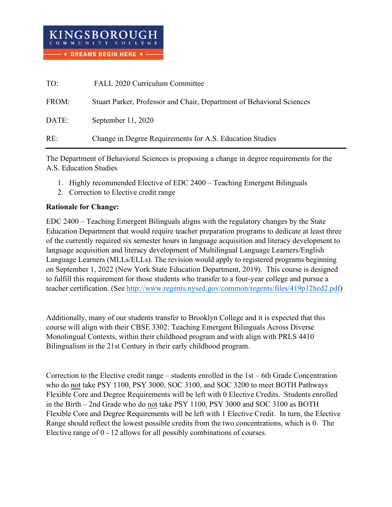| TO:   | FALL 2020 Curriculum Committee                                        |
|-------|-----------------------------------------------------------------------|
| FROM: | Stuart Parker, Professor and Chair, Department of Behavioral Sciences |
| DATE: | September 11, 2020                                                    |
| RE:   | Change in Degree Requirements for A.S. Education Studies              |

The Department of Behavioral Sciences is proposing a change in degree requirements for the A.S. Education Studies

- 1. Highly recommended Elective of EDC 2400 Teaching Emergent Bilinguals
- 2. Correction to Elective credit range

## **Rationale for Change:**

EDC 2400 – Teaching Emergent Bilinguals aligns with the regulatory changes by the State Education Department that would require teacher preparation programs to dedicate at least three of the currently required six semester hours in language acquisition and literacy development to language acquisition and literacy development of Multilingual Language Learners/English Language Learners (MLLs/ELLs). The revision would apply to registered programs beginning on September 1, 2022 (New York State Education Department, 2019). This course is designed to fulfill this requirement for those students who transfer to a four-year college and pursue a teacher certification. (See [http://www.regents.nysed.gov/common/regents/files/419p12hed2.pdf\)](http://www.regents.nysed.gov/common/regents/files/419p12hed2.pdf)

Additionally, many of our students transfer to Brooklyn College and it is expected that this course will align with their CBSE 3302: Teaching Emergent Bilinguals Across Diverse Monolingual Contexts, within their childhood program and with align with PRLS 4410 Bilingualism in the 21st Century in their early childhood program.

Correction to the Elective credit range – students enrolled in the 1st – 6th Grade Concentration who do not take PSY 1100, PSY 3000, SOC 3100, and SOC 3200 to meet BOTH Pathways Flexible Core and Degree Requirements will be left with 0 Elective Credits. Students enrolled in the Birth – 2nd Grade who do not take PSY 1100, PSY 3000 and SOC 3100 as BOTH Flexible Core and Degree Requirements will be left with 1 Elective Credit. In turn, the Elective Range should reflect the lowest possible credits from the two concentrations, which is 0. The Elective range of 0 - 12 allows for all possibly combinations of courses.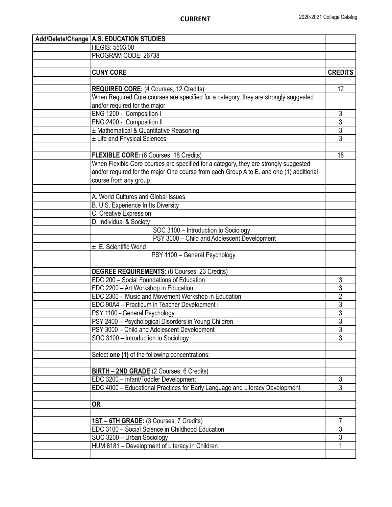| Add/Delete/Change   A.S. EDUCATION STUDIES                                              |                |
|-----------------------------------------------------------------------------------------|----------------|
| <b>HEGIS: 5503.00</b>                                                                   |                |
| PROGRAM CODE: 26738                                                                     |                |
|                                                                                         |                |
| <b>CUNY CORE</b>                                                                        | <b>CREDITS</b> |
|                                                                                         |                |
| <b>REQUIRED CORE: (4 Courses, 12 Credits)</b>                                           | 12             |
| When Required Core courses are specified for a category, they are strongly suggested    |                |
| and/or required for the major                                                           |                |
| ENG 1200 - Composition I                                                                | 3              |
| ENG 2400 - Composition II                                                               | $\overline{3}$ |
| ± Mathematical & Quantitative Reasoning                                                 | $\overline{3}$ |
| ± Life and Physical Sciences                                                            | $\overline{3}$ |
|                                                                                         |                |
| <b>FLEXIBLE CORE:</b> (6 Courses, 18 Credits)                                           | 18             |
| When Flexible Core courses are specified for a category, they are strongly suggested    |                |
| and/or required for the major One course from each Group A to E. and one (1) additional |                |
|                                                                                         |                |
| course from any group                                                                   |                |
| A. World Cultures and Global Issues                                                     |                |
|                                                                                         |                |
| B. U.S. Experience In Its Diversity                                                     |                |
| C. Creative Expression                                                                  |                |
| D. Individual & Society                                                                 |                |
| SOC 3100 - Introduction to Sociology                                                    |                |
| PSY 3000 - Child and Adolescent Development                                             |                |
| ± E. Scientific World                                                                   |                |
| PSY 1100 - General Psychology                                                           |                |
|                                                                                         |                |
| <b>DEGREE REQUIREMENTS: (8 Courses, 23 Credits)</b>                                     |                |
| EDC 200 - Social Foundations of Education                                               | 3              |
| EDC 2200 - Art Workshop in Education                                                    | $\overline{3}$ |
| EDC 2300 - Music and Movement Workshop in Education                                     | $\overline{2}$ |
| EDC 90A4 - Practicum in Teacher Development I                                           | $\overline{3}$ |
| PSY 1100 - General Psychology                                                           | $\overline{3}$ |
| PSY 2400 - Psychological Disorders in Young Children                                    | $\overline{3}$ |
| PSY 3000 - Child and Adolescent Development                                             | $\overline{3}$ |
| SOC 3100 - Introduction to Sociology                                                    | $\overline{3}$ |
|                                                                                         |                |
| Select one (1) of the following concentrations:                                         |                |
|                                                                                         |                |
| BIRTH - 2ND GRADE (2 Courses, 6 Credits)                                                |                |
| EDC 3200 - Infant/Toddler Development                                                   | 3              |
| EDC 4000 - Educational Practices for Early Language and Literacy Development            | $\overline{3}$ |
|                                                                                         |                |
| <b>OR</b>                                                                               |                |
|                                                                                         |                |
| 1ST - 6TH GRADE: (3 Courses, 7 Credits)                                                 | 7              |
| EDC 3100 - Social Science in Childhood Education                                        | $\overline{3}$ |
| SOC 3200 - Urban Sociology                                                              | $\overline{3}$ |
| HUM 8181 - Development of Literacy in Children                                          | 1              |
|                                                                                         |                |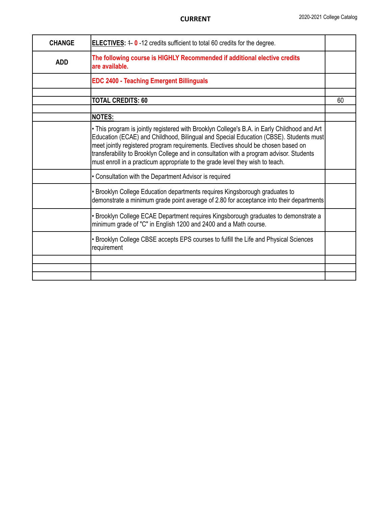| <b>CHANGE</b> | <b>ELECTIVES:</b> $4 - 0 - 12$ credits sufficient to total 60 credits for the degree.                                                                                                                                                                                                                                                                                                                                                                   |    |
|---------------|---------------------------------------------------------------------------------------------------------------------------------------------------------------------------------------------------------------------------------------------------------------------------------------------------------------------------------------------------------------------------------------------------------------------------------------------------------|----|
| <b>ADD</b>    | The following course is HIGHLY Recommended if additional elective credits<br>are available.                                                                                                                                                                                                                                                                                                                                                             |    |
|               | <b>EDC 2400 - Teaching Emergent Billinguals</b>                                                                                                                                                                                                                                                                                                                                                                                                         |    |
|               |                                                                                                                                                                                                                                                                                                                                                                                                                                                         |    |
|               | <b>TOTAL CREDITS: 60</b>                                                                                                                                                                                                                                                                                                                                                                                                                                | 60 |
|               |                                                                                                                                                                                                                                                                                                                                                                                                                                                         |    |
|               | <b>NOTES:</b>                                                                                                                                                                                                                                                                                                                                                                                                                                           |    |
|               | . This program is jointly registered with Brooklyn College's B.A. in Early Childhood and Art<br>Education (ECAE) and Childhood, Bilingual and Special Education (CBSE). Students must<br>meet jointly registered program requirements. Electives should be chosen based on<br>transferability to Brooklyn College and in consultation with a program advisor. Students<br>must enroll in a practicum appropriate to the grade level they wish to teach. |    |
|               | • Consultation with the Department Advisor is required                                                                                                                                                                                                                                                                                                                                                                                                  |    |
|               | • Brooklyn College Education departments requires Kingsborough graduates to<br>demonstrate a minimum grade point average of 2.80 for acceptance into their departments                                                                                                                                                                                                                                                                                  |    |
|               | • Brooklyn College ECAE Department requires Kingsborough graduates to demonstrate a<br>minimum grade of "C" in English 1200 and 2400 and a Math course.                                                                                                                                                                                                                                                                                                 |    |
|               | • Brooklyn College CBSE accepts EPS courses to fulfill the Life and Physical Sciences<br>requirement                                                                                                                                                                                                                                                                                                                                                    |    |
|               |                                                                                                                                                                                                                                                                                                                                                                                                                                                         |    |
|               |                                                                                                                                                                                                                                                                                                                                                                                                                                                         |    |
|               |                                                                                                                                                                                                                                                                                                                                                                                                                                                         |    |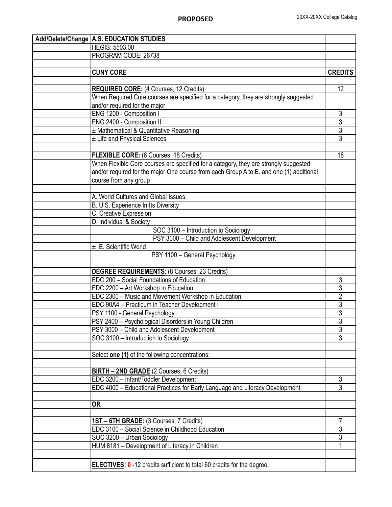| Add/Delete/Change   A.S. EDUCATION STUDIES |                                                                                         |                |
|--------------------------------------------|-----------------------------------------------------------------------------------------|----------------|
|                                            | <b>HEGIS: 5503.00</b>                                                                   |                |
|                                            | PROGRAM CODE: 26738                                                                     |                |
|                                            |                                                                                         |                |
|                                            | <b>CUNY CORE</b>                                                                        | <b>CREDITS</b> |
|                                            |                                                                                         |                |
|                                            | <b>REQUIRED CORE:</b> (4 Courses, 12 Credits)                                           | 12             |
|                                            | When Required Core courses are specified for a category, they are strongly suggested    |                |
|                                            | and/or required for the major                                                           |                |
|                                            | ENG 1200 - Composition I                                                                | $\overline{3}$ |
|                                            | ENG 2400 - Composition II                                                               |                |
|                                            | ± Mathematical & Quantitative Reasoning                                                 | $rac{3}{3}$    |
|                                            | ± Life and Physical Sciences                                                            | $\overline{3}$ |
|                                            |                                                                                         |                |
|                                            | <b>FLEXIBLE CORE:</b> (6 Courses, 18 Credits)                                           | 18             |
|                                            | When Flexible Core courses are specified for a category, they are strongly suggested    |                |
|                                            | and/or required for the major One course from each Group A to E. and one (1) additional |                |
|                                            | course from any group                                                                   |                |
|                                            |                                                                                         |                |
|                                            | A. World Cultures and Global Issues                                                     |                |
|                                            | B. U.S. Experience In Its Diversity                                                     |                |
|                                            | C. Creative Expression                                                                  |                |
|                                            | D. Individual & Society                                                                 |                |
|                                            | SOC 3100 - Introduction to Sociology                                                    |                |
|                                            | PSY 3000 - Child and Adolescent Development                                             |                |
|                                            | ± E. Scientific World                                                                   |                |
|                                            | PSY 1100 - General Psychology                                                           |                |
|                                            |                                                                                         |                |
|                                            | <b>DEGREE REQUIREMENTS: (8 Courses, 23 Credits)</b>                                     |                |
|                                            | EDC 200 - Social Foundations of Education                                               | 3              |
|                                            | EDC 2200 - Art Workshop in Education                                                    | $\overline{3}$ |
|                                            | EDC 2300 - Music and Movement Workshop in Education                                     | $\overline{2}$ |
|                                            | EDC 90A4 - Practicum in Teacher Development I                                           | $\overline{3}$ |
|                                            | PSY 1100 - General Psychology                                                           | $\overline{3}$ |
|                                            | PSY 2400 - Psychological Disorders in Young Children                                    | $\overline{3}$ |
|                                            | PSY 3000 - Child and Adolescent Development                                             | $\overline{3}$ |
|                                            | SOC 3100 - Introduction to Sociology                                                    | $\overline{3}$ |
|                                            |                                                                                         |                |
|                                            | Select one (1) of the following concentrations:                                         |                |
|                                            |                                                                                         |                |
|                                            | BIRTH - 2ND GRADE (2 Courses, 6 Credits)                                                |                |
|                                            | EDC 3200 - Infant/Toddler Development                                                   | 3              |
|                                            | EDC 4000 - Educational Practices for Early Language and Literacy Development            | $\overline{3}$ |
|                                            |                                                                                         |                |
|                                            | <b>OR</b>                                                                               |                |
|                                            |                                                                                         |                |
|                                            | 1ST - 6TH GRADE: (3 Courses, 7 Credits)                                                 | 7              |
|                                            | EDC 3100 - Social Science in Childhood Education                                        | $\overline{3}$ |
|                                            | SOC 3200 - Urban Sociology                                                              | $\overline{3}$ |
|                                            | HUM 8181 - Development of Literacy in Children                                          | 1              |
|                                            |                                                                                         |                |
|                                            | <b>ELECTIVES: 0</b> -12 credits sufficient to total 60 credits for the degree.          |                |
|                                            |                                                                                         |                |